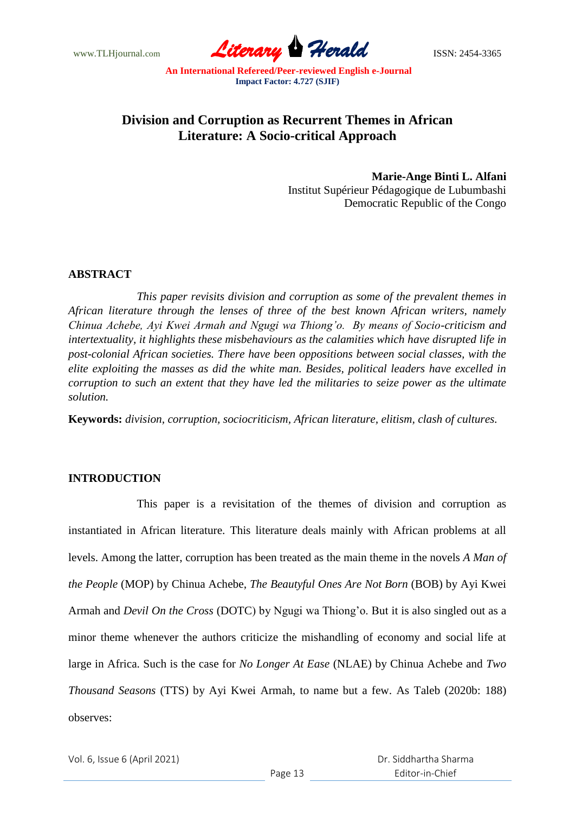www.TLHjournal.com **Literary Herald Herald ISSN: 2454-3365** 

# **Division and Corruption as Recurrent Themes in African Literature: A Socio-critical Approach**

**Marie-Ange Binti L. Alfani** Institut Supérieur Pédagogique de Lubumbashi Democratic Republic of the Congo

## **ABSTRACT**

*This paper revisits division and corruption as some of the prevalent themes in African literature through the lenses of three of the best known African writers, namely Chinua Achebe, Ayi Kwei Armah and Ngugi wa Thiong'o. By means of Socio-criticism and intertextuality, it highlights these misbehaviours as the calamities which have disrupted life in post-colonial African societies. There have been oppositions between social classes, with the elite exploiting the masses as did the white man. Besides, political leaders have excelled in corruption to such an extent that they have led the militaries to seize power as the ultimate solution.*

**Keywords:** *division, corruption, sociocriticism, African literature, elitism, clash of cultures.*

#### **INTRODUCTION**

This paper is a revisitation of the themes of division and corruption as instantiated in African literature. This literature deals mainly with African problems at all levels. Among the latter, corruption has been treated as the main theme in the novels *A Man of the People* (MOP) by Chinua Achebe, *The Beautyful Ones Are Not Born* (BOB) by Ayi Kwei Armah and *Devil On the Cross* (DOTC) by Ngugi wa Thiong"o. But it is also singled out as a minor theme whenever the authors criticize the mishandling of economy and social life at large in Africa. Such is the case for *No Longer At Ease* (NLAE) by Chinua Achebe and *Two Thousand Seasons* (TTS) by Ayi Kwei Armah, to name but a few. As Taleb (2020b: 188) observes: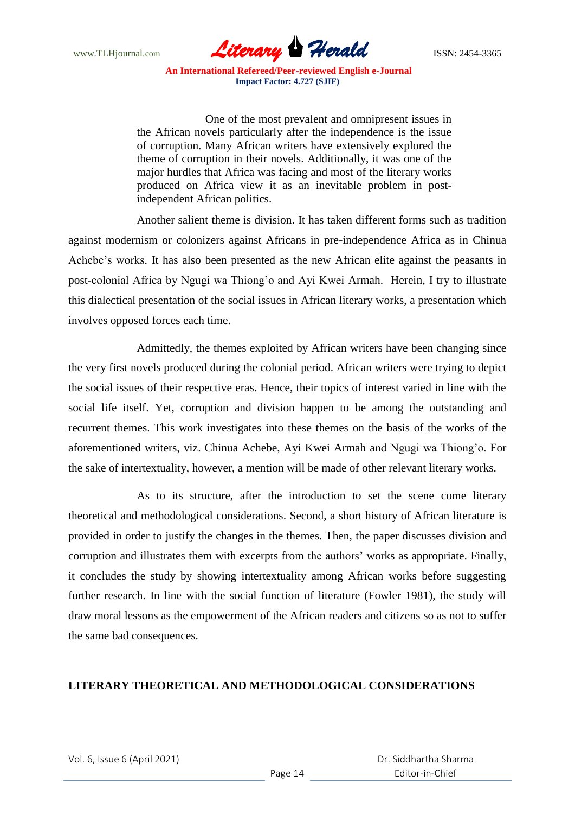

One of the most prevalent and omnipresent issues in the African novels particularly after the independence is the issue of corruption. Many African writers have extensively explored the theme of corruption in their novels. Additionally, it was one of the major hurdles that Africa was facing and most of the literary works produced on Africa view it as an inevitable problem in postindependent African politics.

Another salient theme is division. It has taken different forms such as tradition against modernism or colonizers against Africans in pre-independence Africa as in Chinua Achebe"s works. It has also been presented as the new African elite against the peasants in post-colonial Africa by Ngugi wa Thiong"o and Ayi Kwei Armah. Herein, I try to illustrate this dialectical presentation of the social issues in African literary works, a presentation which involves opposed forces each time.

Admittedly, the themes exploited by African writers have been changing since the very first novels produced during the colonial period. African writers were trying to depict the social issues of their respective eras. Hence, their topics of interest varied in line with the social life itself. Yet, corruption and division happen to be among the outstanding and recurrent themes. This work investigates into these themes on the basis of the works of the aforementioned writers, viz. Chinua Achebe, Ayi Kwei Armah and Ngugi wa Thiong"o. For the sake of intertextuality, however, a mention will be made of other relevant literary works.

As to its structure, after the introduction to set the scene come literary theoretical and methodological considerations. Second, a short history of African literature is provided in order to justify the changes in the themes. Then, the paper discusses division and corruption and illustrates them with excerpts from the authors" works as appropriate. Finally, it concludes the study by showing intertextuality among African works before suggesting further research. In line with the social function of literature (Fowler 1981), the study will draw moral lessons as the empowerment of the African readers and citizens so as not to suffer the same bad consequences.

# **LITERARY THEORETICAL AND METHODOLOGICAL CONSIDERATIONS**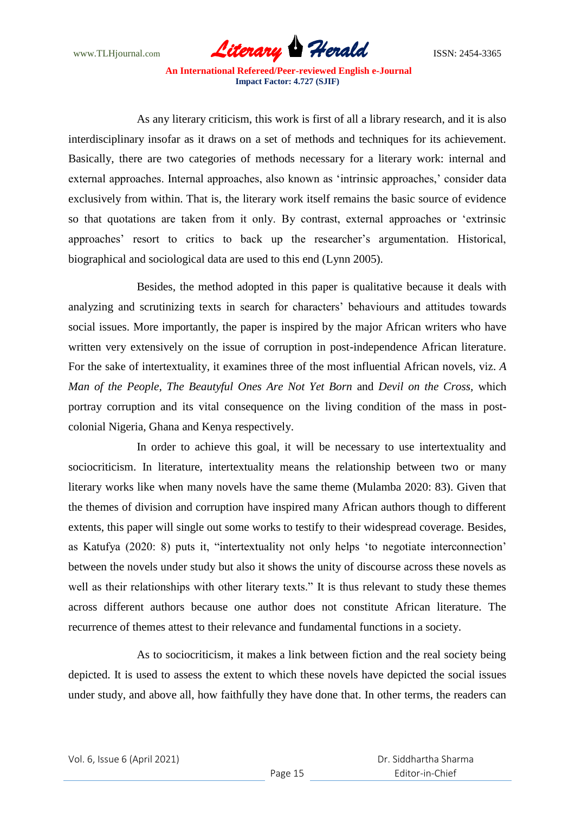www.TLHjournal.com **Literary Herald Herald** ISSN: 2454-3365

As any literary criticism, this work is first of all a library research, and it is also interdisciplinary insofar as it draws on a set of methods and techniques for its achievement. Basically, there are two categories of methods necessary for a literary work: internal and external approaches. Internal approaches, also known as 'intrinsic approaches,' consider data exclusively from within. That is, the literary work itself remains the basic source of evidence so that quotations are taken from it only. By contrast, external approaches or "extrinsic approaches" resort to critics to back up the researcher"s argumentation. Historical, biographical and sociological data are used to this end (Lynn 2005).

Besides, the method adopted in this paper is qualitative because it deals with analyzing and scrutinizing texts in search for characters' behaviours and attitudes towards social issues. More importantly, the paper is inspired by the major African writers who have written very extensively on the issue of corruption in post-independence African literature. For the sake of intertextuality, it examines three of the most influential African novels, viz. *A Man of the People, The Beautyful Ones Are Not Yet Born* and *Devil on the Cross,* which portray corruption and its vital consequence on the living condition of the mass in postcolonial Nigeria, Ghana and Kenya respectively.

In order to achieve this goal, it will be necessary to use intertextuality and sociocriticism. In literature, intertextuality means the relationship between two or many literary works like when many novels have the same theme (Mulamba 2020: 83). Given that the themes of division and corruption have inspired many African authors though to different extents, this paper will single out some works to testify to their widespread coverage. Besides, as Katufya (2020: 8) puts it, "intertextuality not only helps "to negotiate interconnection" between the novels under study but also it shows the unity of discourse across these novels as well as their relationships with other literary texts." It is thus relevant to study these themes across different authors because one author does not constitute African literature. The recurrence of themes attest to their relevance and fundamental functions in a society.

As to sociocriticism, it makes a link between fiction and the real society being depicted. It is used to assess the extent to which these novels have depicted the social issues under study, and above all, how faithfully they have done that. In other terms, the readers can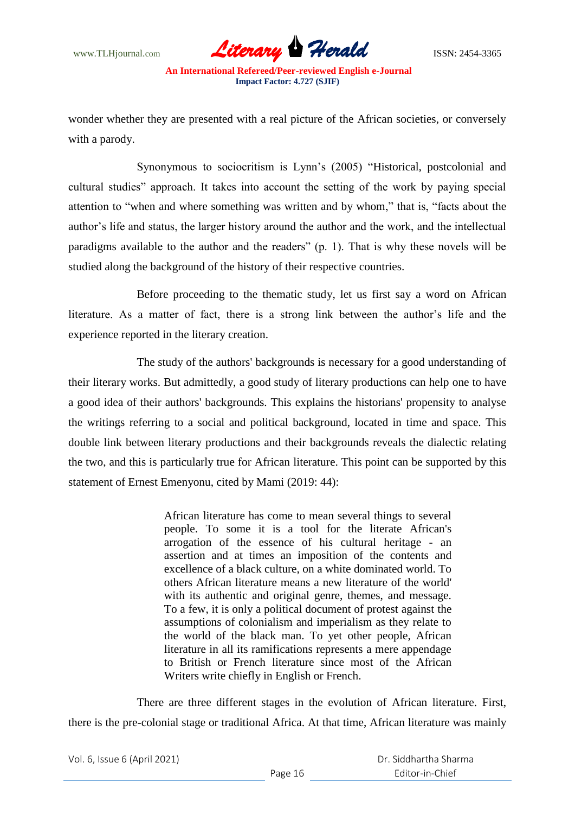

wonder whether they are presented with a real picture of the African societies, or conversely with a parody.

Synonymous to sociocritism is Lynn"s (2005) "Historical, postcolonial and cultural studies" approach. It takes into account the setting of the work by paying special attention to "when and where something was written and by whom," that is, "facts about the author"s life and status, the larger history around the author and the work, and the intellectual paradigms available to the author and the readers" (p. 1). That is why these novels will be studied along the background of the history of their respective countries.

Before proceeding to the thematic study, let us first say a word on African literature. As a matter of fact, there is a strong link between the author"s life and the experience reported in the literary creation.

The study of the authors' backgrounds is necessary for a good understanding of their literary works. But admittedly, a good study of literary productions can help one to have a good idea of their authors' backgrounds. This explains the historians' propensity to analyse the writings referring to a social and political background, located in time and space. This double link between literary productions and their backgrounds reveals the dialectic relating the two, and this is particularly true for African literature. This point can be supported by this statement of Ernest Emenyonu, cited by Mami (2019: 44):

> African literature has come to mean several things to several people. To some it is a tool for the literate African's arrogation of the essence of his cultural heritage - an assertion and at times an imposition of the contents and excellence of a black culture, on a white dominated world. To others African literature means a new literature of the world' with its authentic and original genre, themes, and message. To a few, it is only a political document of protest against the assumptions of colonialism and imperialism as they relate to the world of the black man. To yet other people, African literature in all its ramifications represents a mere appendage to British or French literature since most of the African Writers write chiefly in English or French.

There are three different stages in the evolution of African literature. First, there is the pre-colonial stage or traditional Africa. At that time, African literature was mainly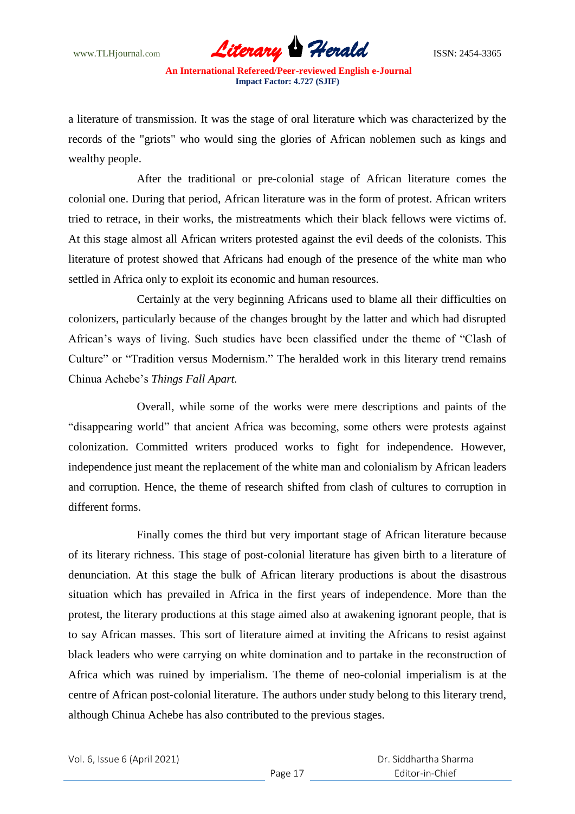www.TLHjournal.com **Literary Herald Herald** ISSN: 2454-3365

a literature of transmission. It was the stage of oral literature which was characterized by the records of the "griots" who would sing the glories of African noblemen such as kings and wealthy people.

After the traditional or pre-colonial stage of African literature comes the colonial one. During that period, African literature was in the form of protest. African writers tried to retrace, in their works, the mistreatments which their black fellows were victims of. At this stage almost all African writers protested against the evil deeds of the colonists. This literature of protest showed that Africans had enough of the presence of the white man who settled in Africa only to exploit its economic and human resources.

Certainly at the very beginning Africans used to blame all their difficulties on colonizers, particularly because of the changes brought by the latter and which had disrupted African"s ways of living. Such studies have been classified under the theme of "Clash of Culture" or "Tradition versus Modernism." The heralded work in this literary trend remains Chinua Achebe"s *Things Fall Apart.*

Overall, while some of the works were mere descriptions and paints of the "disappearing world" that ancient Africa was becoming, some others were protests against colonization. Committed writers produced works to fight for independence. However, independence just meant the replacement of the white man and colonialism by African leaders and corruption. Hence, the theme of research shifted from clash of cultures to corruption in different forms.

Finally comes the third but very important stage of African literature because of its literary richness. This stage of post-colonial literature has given birth to a literature of denunciation. At this stage the bulk of African literary productions is about the disastrous situation which has prevailed in Africa in the first years of independence. More than the protest, the literary productions at this stage aimed also at awakening ignorant people, that is to say African masses. This sort of literature aimed at inviting the Africans to resist against black leaders who were carrying on white domination and to partake in the reconstruction of Africa which was ruined by imperialism. The theme of neo-colonial imperialism is at the centre of African post-colonial literature. The authors under study belong to this literary trend, although Chinua Achebe has also contributed to the previous stages.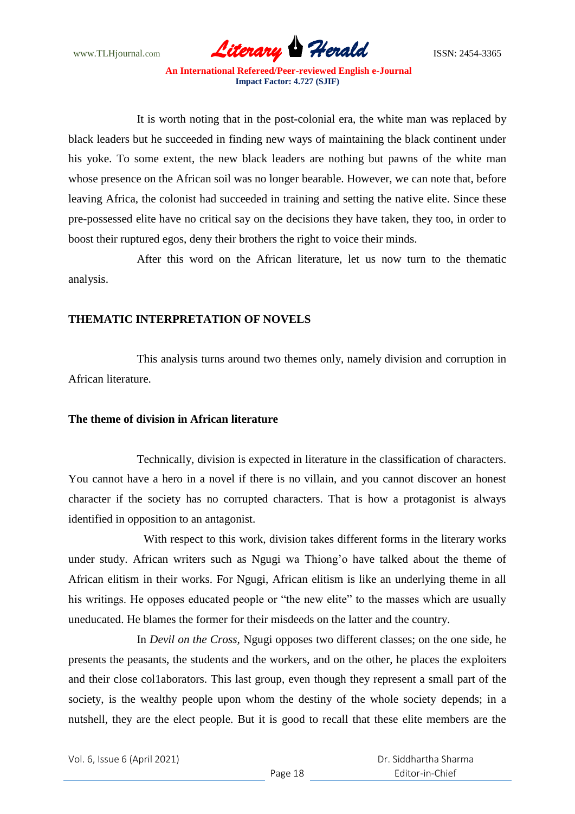www.TLHjournal.com **Literary Herald Herald** ISSN: 2454-3365

It is worth noting that in the post-colonial era, the white man was replaced by black leaders but he succeeded in finding new ways of maintaining the black continent under his yoke. To some extent, the new black leaders are nothing but pawns of the white man whose presence on the African soil was no longer bearable. However, we can note that, before leaving Africa, the colonist had succeeded in training and setting the native elite. Since these pre-possessed elite have no critical say on the decisions they have taken, they too, in order to boost their ruptured egos, deny their brothers the right to voice their minds.

After this word on the African literature, let us now turn to the thematic analysis.

# **THEMATIC INTERPRETATION OF NOVELS**

This analysis turns around two themes only, namely division and corruption in African literature.

# **The theme of division in African literature**

Technically, division is expected in literature in the classification of characters. You cannot have a hero in a novel if there is no villain, and you cannot discover an honest character if the society has no corrupted characters. That is how a protagonist is always identified in opposition to an antagonist.

With respect to this work, division takes different forms in the literary works under study. African writers such as Ngugi wa Thiong"o have talked about the theme of African elitism in their works. For Ngugi, African elitism is like an underlying theme in all his writings. He opposes educated people or "the new elite" to the masses which are usually uneducated. He blames the former for their misdeeds on the latter and the country.

In *Devil on the Cross,* Ngugi opposes two different classes; on the one side, he presents the peasants, the students and the workers, and on the other, he places the exploiters and their close col1aborators. This last group, even though they represent a small part of the society, is the wealthy people upon whom the destiny of the whole society depends; in a nutshell, they are the elect people. But it is good to recall that these elite members are the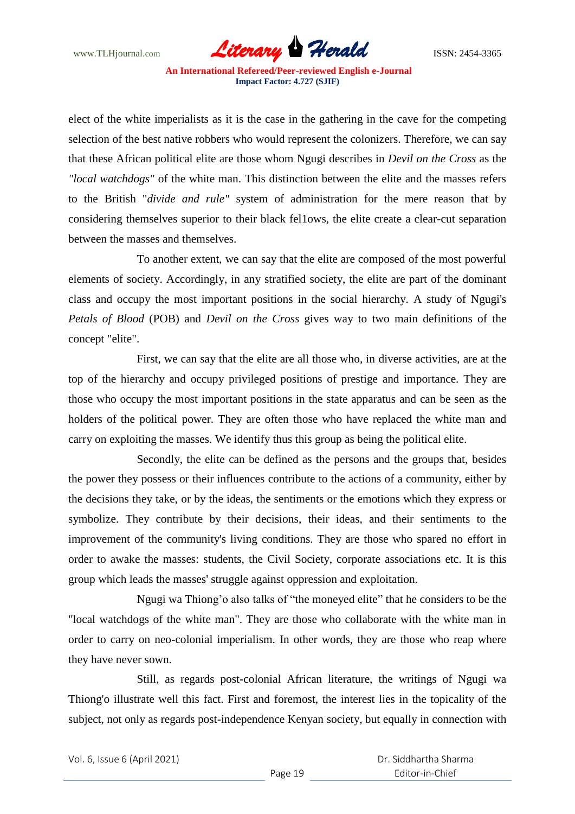www.TLHjournal.com *Literary Herald*ISSN: 2454-3365

elect of the white imperialists as it is the case in the gathering in the cave for the competing selection of the best native robbers who would represent the colonizers. Therefore, we can say that these African political elite are those whom Ngugi describes in *Devil on the Cross* as the *"local watchdogs"* of the white man. This distinction between the elite and the masses refers to the British "*divide and rule"* system of administration for the mere reason that by considering themselves superior to their black fel1ows, the elite create a clear-cut separation between the masses and themselves.

To another extent, we can say that the elite are composed of the most powerful elements of society. Accordingly, in any stratified society, the elite are part of the dominant class and occupy the most important positions in the social hierarchy. A study of Ngugi's *Petals of Blood* (POB) and *Devil on the Cross* gives way to two main definitions of the concept "elite".

First, we can say that the elite are all those who, in diverse activities, are at the top of the hierarchy and occupy privileged positions of prestige and importance. They are those who occupy the most important positions in the state apparatus and can be seen as the holders of the political power. They are often those who have replaced the white man and carry on exploiting the masses. We identify thus this group as being the political elite.

Secondly, the elite can be defined as the persons and the groups that, besides the power they possess or their influences contribute to the actions of a community, either by the decisions they take, or by the ideas, the sentiments or the emotions which they express or symbolize. They contribute by their decisions, their ideas, and their sentiments to the improvement of the community's living conditions. They are those who spared no effort in order to awake the masses: students, the Civil Society, corporate associations etc. It is this group which leads the masses' struggle against oppression and exploitation.

Ngugi wa Thiong"o also talks of "the moneyed elite" that he considers to be the "local watchdogs of the white man". They are those who collaborate with the white man in order to carry on neo-colonial imperialism. In other words, they are those who reap where they have never sown.

Still, as regards post-colonial African literature, the writings of Ngugi wa Thiong'o illustrate well this fact. First and foremost, the interest lies in the topicality of the subject, not only as regards post-independence Kenyan society, but equally in connection with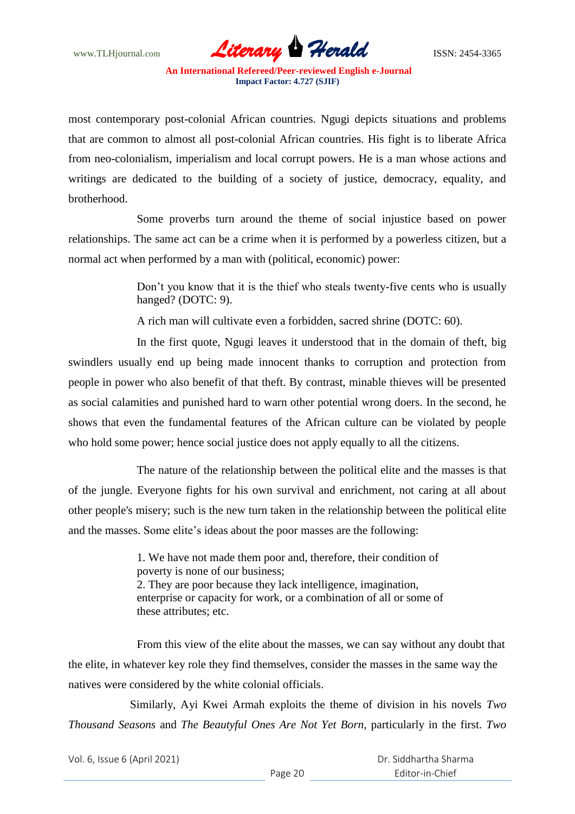www.TLHjournal.com **Literary Herald Herald** ISSN: 2454-3365

most contemporary post-colonial African countries. Ngugi depicts situations and problems that are common to almost all post-colonial African countries. His fight is to liberate Africa from neo-colonialism, imperialism and local corrupt powers. He is a man whose actions and writings are dedicated to the building of a society of justice, democracy, equality, and brotherhood.

Some proverbs turn around the theme of social injustice based on power relationships. The same act can be a crime when it is performed by a powerless citizen, but a normal act when performed by a man with (political, economic) power:

> Don't you know that it is the thief who steals twenty-five cents who is usually hanged? (DOTC: 9).

A rich man will cultivate even a forbidden, sacred shrine (DOTC: 60).

In the first quote, Ngugi leaves it understood that in the domain of theft, big swindlers usually end up being made innocent thanks to corruption and protection from people in power who also benefit of that theft. By contrast, minable thieves will be presented as social calamities and punished hard to warn other potential wrong doers. In the second, he shows that even the fundamental features of the African culture can be violated by people who hold some power; hence social justice does not apply equally to all the citizens.

The nature of the relationship between the political elite and the masses is that of the jungle. Everyone fights for his own survival and enrichment, not caring at all about other people's misery; such is the new turn taken in the relationship between the political elite and the masses. Some elite's ideas about the poor masses are the following:

> 1. We have not made them poor and, therefore, their condition of poverty is none of our business; 2. They are poor because they lack intelligence, imagination, enterprise or capacity for work, or a combination of all or some of these attributes; etc.

From this view of the elite about the masses, we can say without any doubt that the elite, in whatever key role they find themselves, consider the masses in the same way the natives were considered by the white colonial officials.

Similarly, Ayi Kwei Armah exploits the theme of division in his novels *Two Thousand Seasons* and *The Beautyful Ones Are Not Yet Born,* particularly in the first. *Two*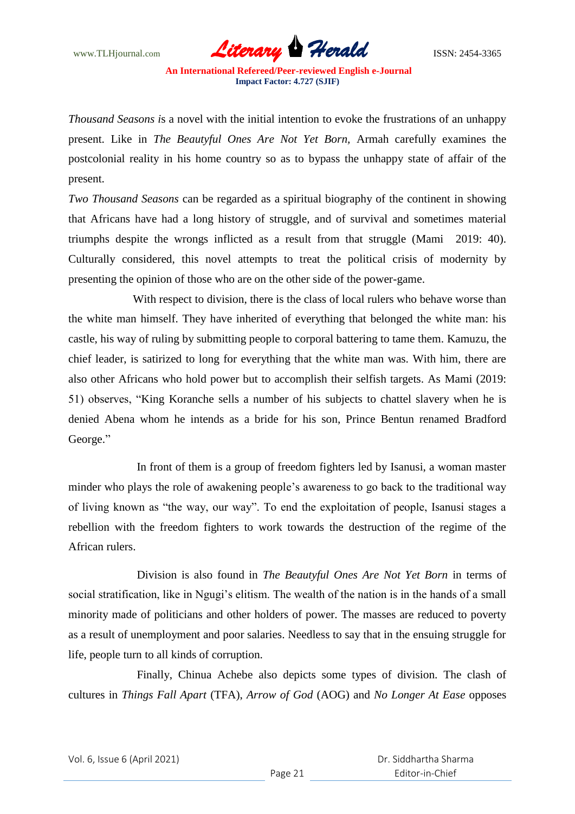www.TLHjournal.com *Literary Herald*ISSN: 2454-3365

*Thousand Seasons i*s a novel with the initial intention to evoke the frustrations of an unhappy present. Like in *The Beautyful Ones Are Not Yet Born,* Armah carefully examines the postcolonial reality in his home country so as to bypass the unhappy state of affair of the present.

*Two Thousand Seasons* can be regarded as a spiritual biography of the continent in showing that Africans have had a long history of struggle, and of survival and sometimes material triumphs despite the wrongs inflicted as a result from that struggle (Mami 2019: 40). Culturally considered, this novel attempts to treat the political crisis of modernity by presenting the opinion of those who are on the other side of the power-game.

With respect to division, there is the class of local rulers who behave worse than the white man himself. They have inherited of everything that belonged the white man: his castle, his way of ruling by submitting people to corporal battering to tame them. Kamuzu, the chief leader, is satirized to long for everything that the white man was. With him, there are also other Africans who hold power but to accomplish their selfish targets. As Mami (2019: 51) observes, "King Koranche sells a number of his subjects to chattel slavery when he is denied Abena whom he intends as a bride for his son, Prince Bentun renamed Bradford George."

In front of them is a group of freedom fighters led by Isanusi, a woman master minder who plays the role of awakening people's awareness to go back to the traditional way of living known as "the way, our way". To end the exploitation of people, Isanusi stages a rebellion with the freedom fighters to work towards the destruction of the regime of the African rulers.

Division is also found in *The Beautyful Ones Are Not Yet Born* in terms of social stratification, like in Ngugi's elitism. The wealth of the nation is in the hands of a small minority made of politicians and other holders of power. The masses are reduced to poverty as a result of unemployment and poor salaries. Needless to say that in the ensuing struggle for life, people turn to all kinds of corruption.

Finally, Chinua Achebe also depicts some types of division. The clash of cultures in *Things Fall Apart* (TFA), *Arrow of God* (AOG) and *No Longer At Ease* opposes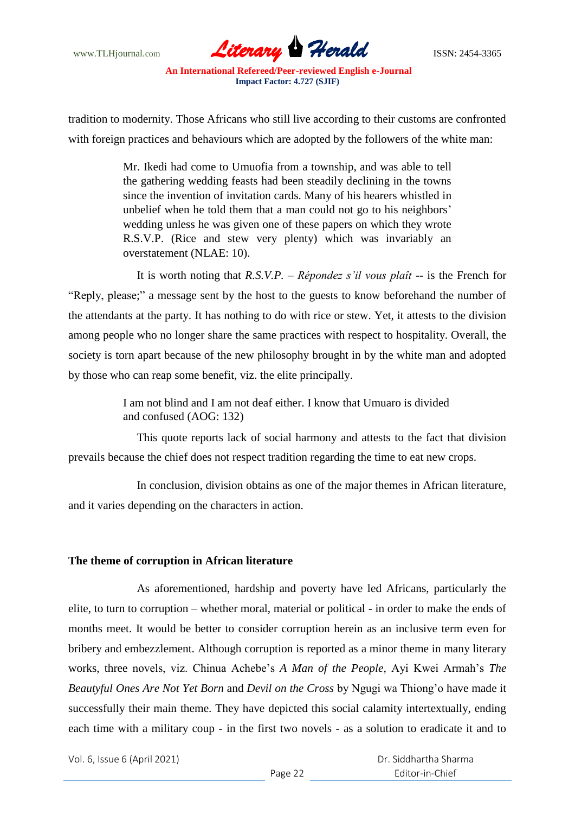

tradition to modernity. Those Africans who still live according to their customs are confronted with foreign practices and behaviours which are adopted by the followers of the white man:

> Mr. Ikedi had come to Umuofia from a township, and was able to tell the gathering wedding feasts had been steadily declining in the towns since the invention of invitation cards. Many of his hearers whistled in unbelief when he told them that a man could not go to his neighbors' wedding unless he was given one of these papers on which they wrote R.S.V.P. (Rice and stew very plenty) which was invariably an overstatement (NLAE: 10).

It is worth noting that *R.S.V.P.* – *Répondez s'il vous plaît* -- is the French for "Reply, please;" a message sent by the host to the guests to know beforehand the number of the attendants at the party. It has nothing to do with rice or stew. Yet, it attests to the division among people who no longer share the same practices with respect to hospitality. Overall, the society is torn apart because of the new philosophy brought in by the white man and adopted by those who can reap some benefit, viz. the elite principally.

> I am not blind and I am not deaf either. I know that Umuaro is divided and confused (AOG: 132)

This quote reports lack of social harmony and attests to the fact that division prevails because the chief does not respect tradition regarding the time to eat new crops.

In conclusion, division obtains as one of the major themes in African literature, and it varies depending on the characters in action.

# **The theme of corruption in African literature**

As aforementioned, hardship and poverty have led Africans, particularly the elite, to turn to corruption – whether moral, material or political - in order to make the ends of months meet. It would be better to consider corruption herein as an inclusive term even for bribery and embezzlement. Although corruption is reported as a minor theme in many literary works, three novels, viz. Chinua Achebe"s *A Man of the People,* Ayi Kwei Armah"s *The Beautyful Ones Are Not Yet Born* and *Devil on the Cross* by Ngugi wa Thiong"o have made it successfully their main theme. They have depicted this social calamity intertextually, ending each time with a military coup - in the first two novels - as a solution to eradicate it and to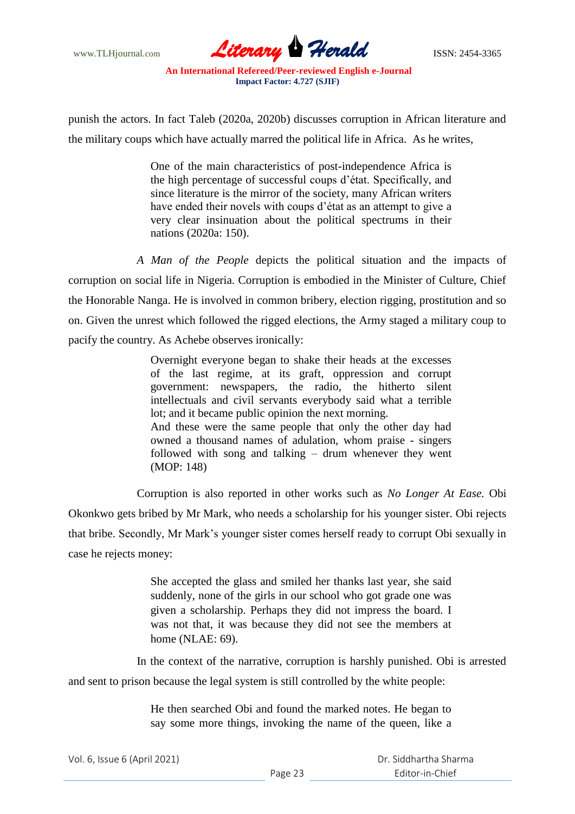

punish the actors. In fact Taleb (2020a, 2020b) discusses corruption in African literature and the military coups which have actually marred the political life in Africa. As he writes,

> One of the main characteristics of post-independence Africa is the high percentage of successful coups d"état. Specifically, and since literature is the mirror of the society, many African writers have ended their novels with coups d"état as an attempt to give a very clear insinuation about the political spectrums in their nations (2020a: 150).

*A Man of the People* depicts the political situation and the impacts of corruption on social life in Nigeria. Corruption is embodied in the Minister of Culture, Chief the Honorable Nanga. He is involved in common bribery, election rigging, prostitution and so on. Given the unrest which followed the rigged elections, the Army staged a military coup to pacify the country. As Achebe observes ironically:

> Overnight everyone began to shake their heads at the excesses of the last regime, at its graft, oppression and corrupt government: newspapers, the radio, the hitherto silent intellectuals and civil servants everybody said what a terrible lot; and it became public opinion the next morning. And these were the same people that only the other day had owned a thousand names of adulation, whom praise - singers followed with song and talking – drum whenever they went (MOP: 148)

Corruption is also reported in other works such as *No Longer At Ease.* Obi Okonkwo gets bribed by Mr Mark, who needs a scholarship for his younger sister. Obi rejects that bribe. Secondly, Mr Mark"s younger sister comes herself ready to corrupt Obi sexually in case he rejects money:

> She accepted the glass and smiled her thanks last year, she said suddenly, none of the girls in our school who got grade one was given a scholarship. Perhaps they did not impress the board. I was not that, it was because they did not see the members at home (NLAE: 69).

In the context of the narrative, corruption is harshly punished. Obi is arrested and sent to prison because the legal system is still controlled by the white people:

> He then searched Obi and found the marked notes. He began to say some more things, invoking the name of the queen, like a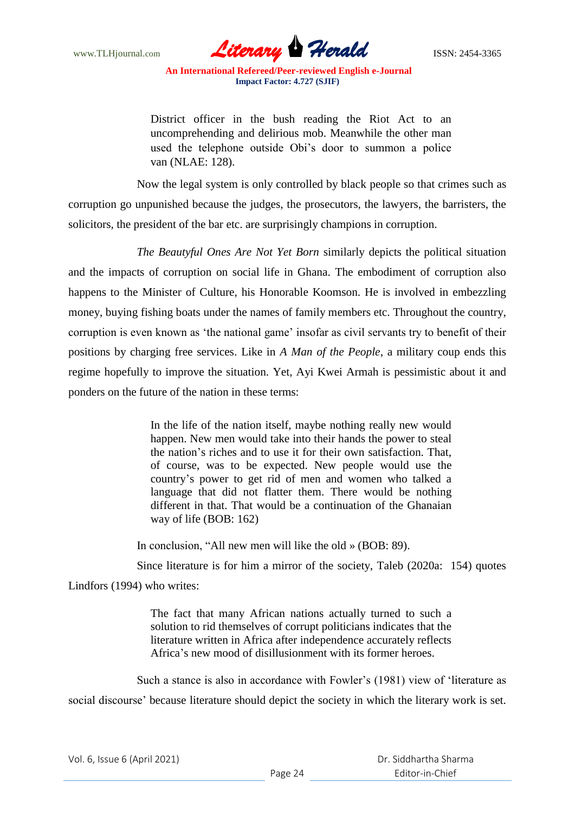

District officer in the bush reading the Riot Act to an uncomprehending and delirious mob. Meanwhile the other man used the telephone outside Obi"s door to summon a police van (NLAE: 128).

Now the legal system is only controlled by black people so that crimes such as corruption go unpunished because the judges, the prosecutors, the lawyers, the barristers, the solicitors, the president of the bar etc. are surprisingly champions in corruption.

*The Beautyful Ones Are Not Yet Born* similarly depicts the political situation and the impacts of corruption on social life in Ghana. The embodiment of corruption also happens to the Minister of Culture, his Honorable Koomson. He is involved in embezzling money, buying fishing boats under the names of family members etc. Throughout the country, corruption is even known as 'the national game' insofar as civil servants try to benefit of their positions by charging free services. Like in *A Man of the People*, a military coup ends this regime hopefully to improve the situation. Yet, Ayi Kwei Armah is pessimistic about it and ponders on the future of the nation in these terms:

> In the life of the nation itself, maybe nothing really new would happen. New men would take into their hands the power to steal the nation"s riches and to use it for their own satisfaction. That, of course, was to be expected. New people would use the country"s power to get rid of men and women who talked a language that did not flatter them. There would be nothing different in that. That would be a continuation of the Ghanaian way of life (BOB: 162)

In conclusion, "All new men will like the old » (BOB: 89).

Since literature is for him a mirror of the society, Taleb (2020a: 154) quotes Lindfors (1994) who writes:

> The fact that many African nations actually turned to such a solution to rid themselves of corrupt politicians indicates that the literature written in Africa after independence accurately reflects Africa"s new mood of disillusionment with its former heroes.

Such a stance is also in accordance with Fowler"s (1981) view of "literature as social discourse' because literature should depict the society in which the literary work is set.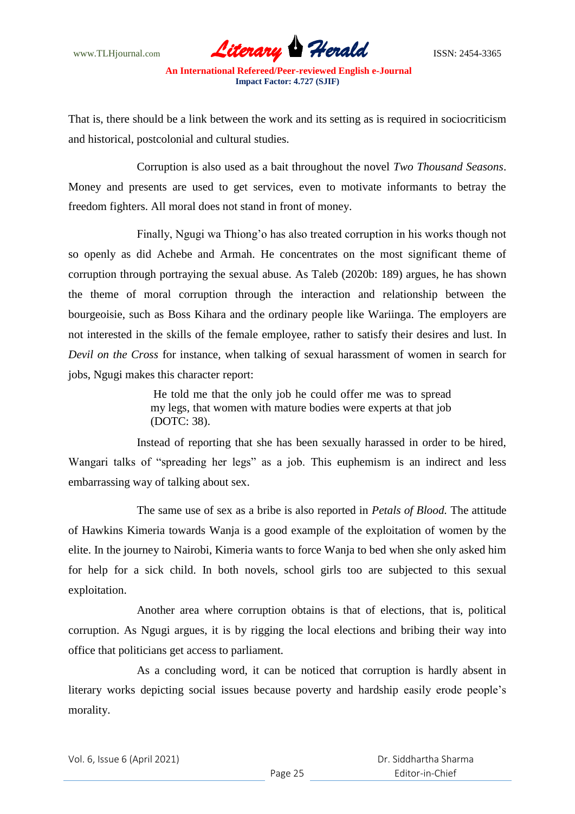www.TLHjournal.com **Literary Herald Herald** ISSN: 2454-3365

That is, there should be a link between the work and its setting as is required in sociocriticism and historical, postcolonial and cultural studies.

Corruption is also used as a bait throughout the novel *Two Thousand Seasons*. Money and presents are used to get services, even to motivate informants to betray the freedom fighters. All moral does not stand in front of money.

Finally, Ngugi wa Thiong'o has also treated corruption in his works though not so openly as did Achebe and Armah. He concentrates on the most significant theme of corruption through portraying the sexual abuse. As Taleb (2020b: 189) argues, he has shown the theme of moral corruption through the interaction and relationship between the bourgeoisie, such as Boss Kihara and the ordinary people like Wariinga. The employers are not interested in the skills of the female employee, rather to satisfy their desires and lust. In *Devil on the Cross* for instance, when talking of sexual harassment of women in search for jobs, Ngugi makes this character report:

> He told me that the only job he could offer me was to spread my legs, that women with mature bodies were experts at that job (DOTC: 38).

Instead of reporting that she has been sexually harassed in order to be hired, Wangari talks of "spreading her legs" as a job. This euphemism is an indirect and less embarrassing way of talking about sex.

The same use of sex as a bribe is also reported in *Petals of Blood.* The attitude of Hawkins Kimeria towards Wanja is a good example of the exploitation of women by the elite. In the journey to Nairobi, Kimeria wants to force Wanja to bed when she only asked him for help for a sick child. In both novels, school girls too are subjected to this sexual exploitation.

Another area where corruption obtains is that of elections, that is, political corruption. As Ngugi argues, it is by rigging the local elections and bribing their way into office that politicians get access to parliament.

As a concluding word, it can be noticed that corruption is hardly absent in literary works depicting social issues because poverty and hardship easily erode people"s morality.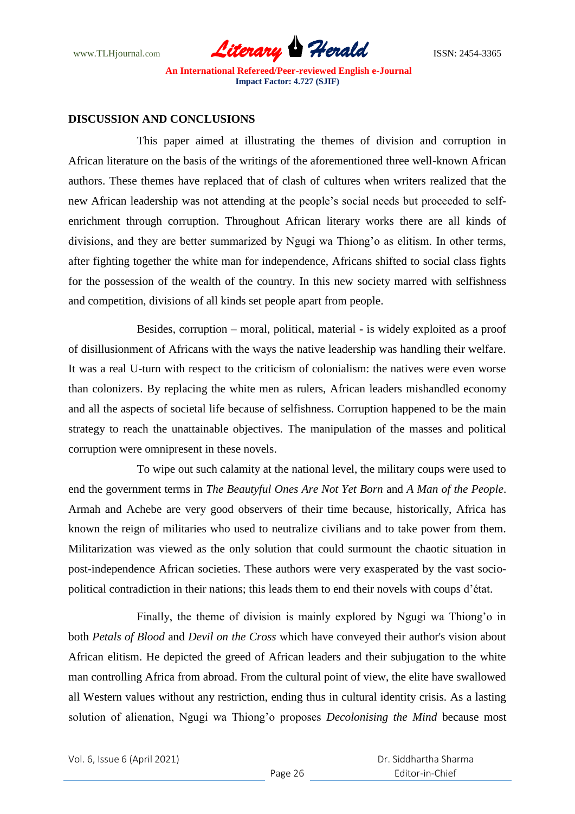

### **DISCUSSION AND CONCLUSIONS**

This paper aimed at illustrating the themes of division and corruption in African literature on the basis of the writings of the aforementioned three well-known African authors. These themes have replaced that of clash of cultures when writers realized that the new African leadership was not attending at the people"s social needs but proceeded to selfenrichment through corruption. Throughout African literary works there are all kinds of divisions, and they are better summarized by Ngugi wa Thiong"o as elitism. In other terms, after fighting together the white man for independence, Africans shifted to social class fights for the possession of the wealth of the country. In this new society marred with selfishness and competition, divisions of all kinds set people apart from people.

Besides, corruption – moral, political, material - is widely exploited as a proof of disillusionment of Africans with the ways the native leadership was handling their welfare. It was a real U-turn with respect to the criticism of colonialism: the natives were even worse than colonizers. By replacing the white men as rulers, African leaders mishandled economy and all the aspects of societal life because of selfishness. Corruption happened to be the main strategy to reach the unattainable objectives. The manipulation of the masses and political corruption were omnipresent in these novels.

To wipe out such calamity at the national level, the military coups were used to end the government terms in *The Beautyful Ones Are Not Yet Born* and *A Man of the People*. Armah and Achebe are very good observers of their time because, historically, Africa has known the reign of militaries who used to neutralize civilians and to take power from them. Militarization was viewed as the only solution that could surmount the chaotic situation in post-independence African societies. These authors were very exasperated by the vast sociopolitical contradiction in their nations; this leads them to end their novels with coups d"état.

Finally, the theme of division is mainly explored by Ngugi wa Thiong"o in both *Petals of Blood* and *Devil on the Cross* which have conveyed their author's vision about African elitism. He depicted the greed of African leaders and their subjugation to the white man controlling Africa from abroad. From the cultural point of view, the elite have swallowed all Western values without any restriction, ending thus in cultural identity crisis. As a lasting solution of alienation, Ngugi wa Thiong"o proposes *Decolonising the Mind* because most